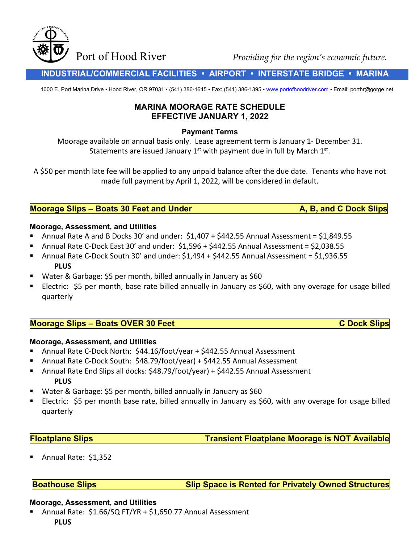Port of Hood River *Providing for the region's economic future*.

 **INDUSTRIAL/COMMERCIAL FACILITIES • AIRPORT • INTERSTATE BRIDGE • MARINA**

1000 E. Port Marina Drive • Hood River, OR 97031 • (541) 386-1645 • Fax: (541) 386-1395 [• www.portofhoodriver.com](http://www.portofhoodriver.com/) • Email: porthr@gorge.net

# **MARINA MOORAGE RATE SCHEDULE EFFECTIVE JANUARY 1, 2022**

#### **Payment Terms**

Moorage available on annual basis only. Lease agreement term is January 1- December 31. Statements are issued January  $1<sup>st</sup>$  with payment due in full by March  $1<sup>st</sup>$ .

A \$50 per month late fee will be applied to any unpaid balance after the due date. Tenants who have not made full payment by April 1, 2022, will be considered in default.

## **Moorage Slips – Boats 30 Feet and Under A, B, and C Dock Slips**

#### **Moorage, Assessment, and Utilities**

- Annual Rate A and B Docks 30' and under:  $$1,407 + $442.55$  Annual Assessment = \$1,849.55
- Annual Rate C-Dock East 30' and under: \$1,596 + \$442.55 Annual Assessment = \$2,038.55
- Annual Rate C-Dock South 30' and under:  $$1,494 + $442.55$  Annual Assessment =  $$1,936.55$ **PLUS**
- Water & Garbage: \$5 per month, billed annually in January as \$60
- **ELECTRIC: \$5 per month, base rate billed annually in January as \$60, with any overage for usage billed** quarterly

## **Moorage Slips – Boats OVER 30 Feet C Dock Slips**

## **Moorage, Assessment, and Utilities**

- Annual Rate C-Dock North: \$44.16/foot/year + \$442.55 Annual Assessment
- Annual Rate C-Dock South: \$48.79/foot/year) + \$442.55 Annual Assessment
- Annual Rate End Slips all docks: \$48.79/foot/year) + \$442.55 Annual Assessment **PLUS**
- Water & Garbage: \$5 per month, billed annually in January as \$60
- Electric: \$5 per month base rate, billed annually in January as \$60, with any overage for usage billed quarterly

**Floatplane Slips Transient Floatplane Moorage is NOT Available** 

Annual Rate: \$1,352

**Boathouse Slips Slip Space is Rented for Privately Owned Structures**

#### **Moorage, Assessment, and Utilities**

 Annual Rate: \$1.66/SQ FT/YR + \$1,650.77 Annual Assessment **PLUS**